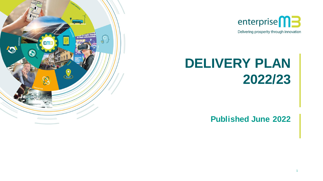



# **DELIVERY PLAN 2022/23**

**Published June 2022**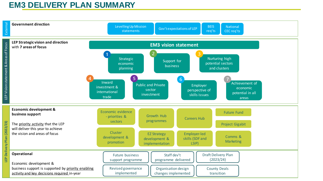### **EM3 DELIVERY PLAN SUMMARY**

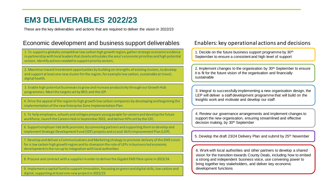### **EM3 DELIVERABLES 2022/23**

These are the key deliverables and actions that are required to deliver the vision in 2022/23

### Economic development and business support deliverables Enablers: key operational actions and decisions

1. To support a globally competitive low carbon high growth region, gather strategic economic evidence in partnership with local leaders that clearly articulates the area's economic priorities and high potential sectors. Identify actions needed to support priority sectors.

2. Maximise inward investment opportunities by building on strengths of existing clusters, to develop and support at least one new cluster for the region, for example low carbon, sustainable air travel, digital health.

3. Enable high potential businesses to grow and increase productivity through our Growth Hub programmes. Meet the targets set by BEIS and the LEP.

4. Drive the appeal of the region to high growth low carbon companies by developing and beginning the implementation of the new Enterprise Zone Implementation Plan.

5. To help employers, schools and colleges prepare young people for careers and develop the future workforce, launch the Careers Hub in September 2022, and deliver KPIs set by the CEC.

6. Support employer-led skills provision, by convening partners and supporting them to develop and implement Strategic Development Fund (SDF) projects and a Local Skills Improvement Plan (LSIP).

7. Develop and deliver a Communications and Marketing strategy to promote delivery of the EM3 vision for a low carbon high growth region and to champion the role of LEPs in business led economic development in the run up to integration with local authorities

8. Procure and contract with a supplier in order to deliver the Gigabit EM3 fibre spine in 2023/24.

9. Implement a capital fund to support innovation, focussing on green and digital skills, low carbon and digital, supporting at least one new project in 2022/23

1. Decide on the future business support programme by 30<sup>th</sup> September to ensure a consistent and high level of support

2. Implement changes to the organisation by 30<sup>th</sup> September to ensure it is fit for the future vision of the organisation and financially sustainable

3. Integral to successfully implementing a new organisation design, the LEP will deliver a staff development programme that will build on the Insights work and motivate and develop our staff

4. Review our governance arrangements and implement changes to support the new organisation, ensuring streamlined and effective decision making, by 30th September

5. Develop the draft 23/24 Delivery Plan and submit by 25th November

6. Work with local authorities and other partners to develop a shared vision for the transition towards County Deals, including how to embed a strong and independent business voice, use convening power to bring together key stakeholders, and deliver key economic development functions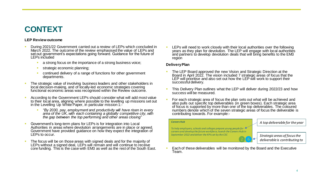## **CONTEXT**

### **LEP Review outcome**

- During 2021/22 Government carried out a review of LEPs which concluded in March 2022. The outcome of the review emphasised the value of LEPs and set out government's expectations going forward. Guidance for the future of LEPs included
	- **EXECUTE:** a strong focus on the importance of a strong business voice;
	- strategic economic planning;
	- continued delivery of a range of functions for other government departments.
- The strategic value of involving business leaders and other stakeholders in local decision-making, and of locally-led economic strategies covering functional economic areas was recognised within the Review outcome.
- According to the Government LEPs should consider what will add most value to their local area, aligning where possible to the levelling up missions set out in the Levelling Up White Paper, in particular mission 1:-
	- *"By 2030, pay, employment and productivity will have risen in every area of the UK, with each containing a globally competitive city, with the gap between the top performing and other areas closing"*
- Government's long-term plans for LEPs is for integration into Local Authorities in areas where devolution arrangements are in place or agreed. Government have provided guidance on how they expect the integration of LEPs to occur.
- The focus will be on those areas with signed deals and for the majority of LEPs without a signed deal, LEPs will remain and will continue to receive core funding. This is the case with EM3 as well as the rest of the South East.

LEPs will need to work closely with their local authorities over the following years as they plan for devolution. The LEP will engage with local authorities and partners to develop devolution deals that will bring benefits to the EM3 region

#### **Delivery Plan**

- The LEP Board approved the new Vision and Strategic Direction at the Board in April 2022. The vision included 7 strategic areas of focus that the LEP will prioritise and also set out how the LEP will work to support their successful delivery.
- **This Delivery Plan outlines what the LEP will deliver during 2022/23 and how** success will be measured.
- **•** For each strategic area of focus the plan sets out what will be achieved and also pulls out specific top deliverables (in green boxes). Each strategic area of focus is supported by more than one of the top deliverables. The coloured numbers denote which of the seven strategic areas of focus the deliverable is contributing towards. For example:-

#### *Careers Hub*

*To help employers, schools and colleges prepare young people for careers and develop the future workforce, launch the Careers Hub in September 2022 and deliver the KPIs set by the CEC*

*A top deliverable for the year* 

*Strategic areas of focus the deliverable is contributing to* 

Each of these deliverables will be monitored by the Board and the Executive Team.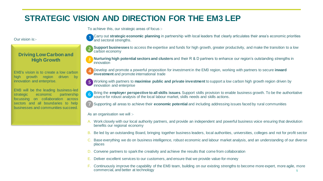### **STRATEGIC VISION AND DIRECTION FOR THE EM3 LEP**

To achieve this, our strategic areas of focus :-

Our vision is:-

### **Driving Low Carbon and High Growth**

EM3's vision is to create a low carbon high growth region driven by innovation and enterprise.

EM3 will be the leading business-led strategic economic partnership focussing on collaboration across sectors and all boundaries to help businesses and communities succeed.

Carry out **strategic economic planning** in partnership with local leaders that clearly articulates their area's economic priorities and sectoral strengths.

**Support businesses** to access the expertise and funds for high growth, greater productivity, and make the transition to a low carbon economy

**Nurturing high potential sectors and clusters** and their R & D partners to enhance our region's outstanding strengths in innovation

Develop and promote a powerful proposition for investment in the EM3 region, working with partners to secure *inward* **investment** and promote international trade

**5** Working with partners to **maximise public and private investment** to support a low carbon high growth region driven by innovation and enterprise

Bring the **employer perspective to all skills issues**. Support skills provision to enable business growth. To be the authoritative source for robust analysis of the local labour market, skills needs and skills actions.

**Supporting all areas to achieve their economic potential** and including addressing issues faced by rural communities

As an organisation we will :-

- A. Work closely with our local authority partners, and provide an independent and powerful business voice ensuring that devolution benefits our regional economy
- Be led by an outstanding Board, bringing together business leaders, local authorities, universities, colleges and not for profit sector
- C. Base everything we do on business intelligence, robust economic and labour market analysis, and an understanding of our diverse places
- D. Convene partners to spark the creativity and achieve the results that come from collaboration
- Deliver excellent services to our customers, and ensure that we provide value-for-money
- 5 F. Continuously improve the capability of the EM3 team, building on our existing strengths to become more expert, more agile, more commercial, and better at technology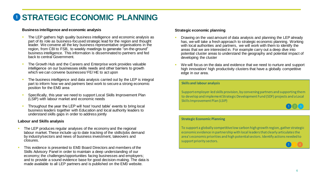## **O STRATEGIC ECONOMIC PLANNING**

### **Business intelligence and economic analysis**

- The LEP gathers high quality business intelligence and economic analysis as part of its role as business-focused strategic lead for the region and thought leader. We convene all the key business representative organisations in the region, from CBI to FSB, to weekly meetings to generate "on-the-ground" business intelligence. This information is disseminated to partners and fed back to central Government.
- The Growth Hub and the Careers and Enterprise work provides valuable intelligence on our businesses skills needs and other barriers to growth which we can convene businesses/ FE/HE to act upon
- The business intelligence and data analysis carried out by the LEP is integral part to inform how we and partners best work to secure a strong economic position for the EM3 area
- Specifically, this year we need to support Local Skills Improvement Plan (LSIP) with labour market and economic needs
- Throughout the year the LEP will host 'round table' events to bring local business leaders together with Education and local authority leaders to understand skills gaps in order to address jointly

### **Labour and Skills analysis**

- The LEP produces regular analyses of the economy and the regional labour market. These include up to date tracking of the skills/jobs demand by industry/sectors and news of business investment, takeovers and closures.
- This evidence is presented to EM3 Board Directors and members of the Skills Advisory Panel in order to maintain a deep understanding of our economy; the challenges/opportunities facing businesses and employers; and to provide a sound evidence base for good decision-making. The data is made available to all LEP partners and is published on the EM3 website.

### **Strategic economic planning**

- Drawing on the vast amount of data analysis and planning the LEP already has, we will take a fresh approach to strategic economic planning. Working with local authorities and partners, we will work with them to identify the areas that we are interested in. For example carry out a deep dive into potential cluster areas to understand the geography and potential impact of developing the cluster
- We will focus on the data and evidence that we need to nurture and support high innovation/ high productivity clusters that have a globally competitive edge in our area.

#### **Skills and labour analysis**

Support employer-led skills provision, by convening partners and supporting them to develop and implement Strategic Development Fund (SDF) projects and a Local Skills Improvement Plan (LSIP)



### **Strategic Economic Planning**

To support a globally competitive low carbon high growth region, gather strategic economic evidence in partnership with local leaders that clearly articulates the area's economic priorities and high potential sectors. Identify actions needed to support priority sectors.

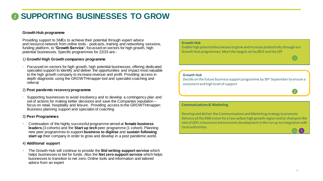### **SUPPORTING BUSINESSES TO GROW**

### **Growth Hub programme**

Providing support to SMEs to achieve their potential through expert advice and resource network from online tools - podcasts, training and networking sessions, funding platform, to **'Growth Service'**, focussed on sectors for high growth, high potential businesses. Specific programmes for 22/23 are:-

### 1) **Growth/ High Growth companies programme**

• Focussed on sectors for high growth, high potential businesses, offering dedicated specialist support to identify and deliver the opportunities and impact most valuable to the high growth company to increase revenue and profit. Providing access in depth diagnostic using the GROWTHmapper tool and specialist coaching and referral

#### 2) **Post pandemic recovery programme**

• Supporting businesses to avoid insolvency and to develop a contingency plan and set of actions for making better decisions and save the Companies reputation – focus on retail, hospitality and leisure. Providing access to the GROWTHmapper; Business planning support and specialist of coaching

#### 3) **Peer Programmes**

▪ Continuation of the highly successful programme aimed at **female business leaders** (3 cohorts) and the **Start up tech** peer programme (1 cohort). Planning new peer programmes to support **business to digitise** and **sustain following start up** their company in order to grow and develop in a post pandemic world.

#### 4) **Additional support**

The Growth Hub will continue to provide the **Bid writing support service** which helps businesses to bid for funds. Also the **Net zero support service** which helps businesses to transition to net zero. Online tools and information and tailored advice from an expert

### **Growth Hub**

Enable high potential businesses to grow and increase productivity through our Growth Hub programmes. Meet the targets set by BEIS and the LEP

#### **Growth Hub**

Decide on the future business support programme by 30<sup>th</sup> September to ensure a consistent and high level of support

#### **Communications & Marketing**

Develop and deliver the Communications and Marketing strategy to promote delivery of the EM3 vision for a low carbon high growth region and to champion the role of LEPs in business led economic development in the run up to integration with local authorities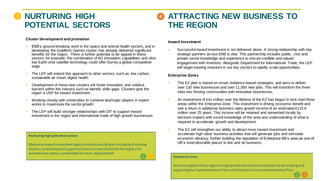### **NURTURING HIGH POTENTIAL SECTORS**

### **ATTRACTING NEW BUSINESS TO THE REGION**

### **Cluster development and promotion**

- EM3's ground-breaking work in the space and animal health sectors, and in developing the Guildford Games cluster, has already delivered significant benefits for the region. There is further potential to be tapped in these sectors; for example, the combination of 6G innovation capabilities and ultralow Earth orbit satellite technology could offer Surrey a global competitive edge.
- The LEP will extend this approach to other sectors, such as: low carbon, sustainable air travel, digital health
- Development of these new clusters will foster innovation and unblock barriers within the industry such as identify skills gaps. Clusters give the region a USP for inward investment.
- Working closely with universities to convene key/major players in expert works to maximises the sector growth.
- The LEP will build stronger relationships with DIT to support inward investment in the region and international trade of high growth businesses

#### **Nurturing high potential sectors**

Maximise inward investment opportunities by building on strengths of existing clusters, to develop and support at least one new cluster for the region, for example low carbon, sustainable air travel, digital health

#### **Inward Investment**

• Successful inward investment is not delivered alone. A strong relationship with key strategic partners across EM3 is vital. This partnership includes public, civic and private sector knowledge and experience to ensure credible and valued engagement with investors. Alongside Department for International Trade, the LEP will target existing investors in our key sectors to rapidly scale opportunities.

### **Enterprise Zones**

- The EZ plan is based on smart, evidence-based strategies, and aims to deliver over 130 new businesses and over 11,000 new jobs. This will transform the three sites into thriving communities with innovative businesses.
- An investment of £41 million over the lifetime of the EZ has begun to kick-start three areas within the Enterprise Zone. This investment is driving economic benefit and see a return in additional business rates growth income of an estimated £115.8 million over 25 years. This income will be retained and reinvested locally by decision-makers with sound knowledge of the area and understanding of what is required to accelerate growth and development.
- The EZ will strengthen our ability to attract more inward investment and accelerate high value business activities that will generate jobs and stimulate economic vibrancy, further building the reputation of Enterprise M3's area as one of UK's most desirable places to live and do business.

#### **Enterprise Zone**

8 Drive the appeal of the region to high growth low carbon companies by developing and beginning the implementation of the new Enterprise Zone Implementation Plan

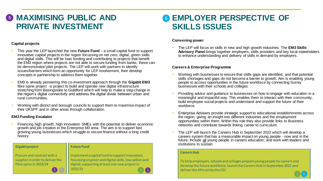### **6 MAXIMISING PUBLIC AND PRIVATE INVESTMENT**

### **Capital projects**

- This year the LEP launched the new **Future Fund**  a small capital fund to support innovative capital projects in the region focussing on net zero, digital, green skills and digital skills. This will be loan funding and contributing to projects that benefit the EM3 region where projects are not able to secure funding from banks; these can be demonstrator/ pilot projects. The LEP will work with partners to identify issues/barriers which form an opportunity for LEP involvement, then develop concepts in partnership to address them together.
- EM3 is already pioneering this co-investment approach through the **Gigabit EM3**  fibre spine project - a project to build and operate new digital infrastructure stretching from Basingstoke to Guildford which will help to make a step change in the region's digital connectivity and address the digital divide between urban and rural communities.
- Working with district and borough councils to support them to maximise impact of their UKSPF and in other areas through collaboration.

### **EM3 Funding Escalator**

Financing high growth, high innovation SMEs with the potential to deliver economic growth and job creation in the Enterprise M3 area. The aim is to support fast growing young businesses which struggle to secure finance without a long credit history.

### **Gigabit project**

### **Future Fund**

2022/23

Implement a capital fund to support innovation, focussing on green and digital skills, low carbon and digital, supporting at least one new project in

Procure and contract with a supplier in order to deliver the fibre spine in 2023/24

### **G EMPLOYER PERSPECTIVE OF SKILLS ISSUES**

### **Convening power**

▪ The LEP will focus on skills in new and high growth industries. The **EM3 Skills Advisory Panel** brings together employers, skills providers and key local stakeholders to enhance understanding and delivery of skills in demand by employers.

### **Careers & Enterprise Programme**

- Working with businesses to ensure that skills gaps are identified, and that potential skills shortages and gaps do not become a barrier to growth. Aim is enabling young people to access opportunities in the future workforce by connecting Surrey businesses with their schools and colleges
- Providing advice and guidance to businesses on how to engage with education in a meaningful and impactful way. This enables them to interact with their community, build employee social projects and understand and support the future of their workforce.
- Enterprise Advisers provide strategic support to educational establishments across the region, giving an insight into different industries and the employment opportunities within them. Within this role they also provide links to Business networks and contribute towards linking career to curriculum.
- The LEP will launch the Careers Hub in September 2022 which will develop a careers system that has a measurable impact on young people - now and in the future; Include all young people in careers education; and work with leaders and institutions to sustain

### **Careers Hub**

9 To help employers, schools and colleges prepare young people for careers and develop the future workforce, launch the Careers Hub in September 2022 and deliver the KPIs set by the CEC

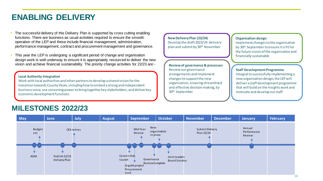### **ENABLING DELIVERY**

- The successful delivery of this Delivery Plan is supported by cross cutting enabling functions. There are business as usual activities required to ensure the smooth operation of the LEP and these include financial management, administration, performance management, contract and procurement management and governance.
- This year the LEP is undergoing a significant period of change and organisation design work is well underway to ensure it is appropriately resourced to deliver the new vision and achieve financial sustainability. The priority change activities for 22/23 are:-

#### **Local Authority Integration**

Work with local authorities and other partners to develop a shared vision for the transition towards County Deals, including how to embed a strong and independent business voice, use convening power to bring together key stakeholders, and deliver key economic development functions

### **New Delivery Plan (23/24)** Develop the draft 2023/24 delivery plan and submit by 30th November

**Review of governance & processes** Review our governance arrangements and implement changes to support the new organisation, ensuring streamlined and effective decision making, by 30th September

### **Organisation design**

Implement changes to the organisation by 30th September to ensure it is fit for the future vision of the organisation and financially sustainable

#### **Staff Development Programme**

Integral to successfully implementing a new organisation design, the LEP will deliver a staff development programme that will build on the Insights work and motivate and develop our staff

### **MILESTONES 2022/23**

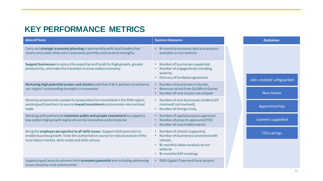### **KEY PERFORMANCE METRICS**

| <b>Area of focus</b>                                                                                                                                                                                                           | <b>Success measures</b>                                                                                                                                                       |  | <b>Outcomes</b>           |
|--------------------------------------------------------------------------------------------------------------------------------------------------------------------------------------------------------------------------------|-------------------------------------------------------------------------------------------------------------------------------------------------------------------------------|--|---------------------------|
| Carry out strategic economic planning in partnership with local leaders that<br>clearly articulates their area's economic priorities and sectoral strengths.                                                                   | Bi-monthly economic data and analysis<br>available on our website                                                                                                             |  |                           |
| Support businesses to access the expertise and funds for high growth, greater<br>productivity, and make the transition to a low carbon economy                                                                                 | • Number of businesses supported,<br>Number of engagements including<br>website,<br>Delivery of funded programmes<br>$\bullet$                                                |  |                           |
| Nurturing high potential sectors and clusters and their R & D partners to enhance                                                                                                                                              | • Number of businesses in cluster,                                                                                                                                            |  | Jobs created/ safeguarded |
| our region's outstanding strengths in innovation                                                                                                                                                                               | Revenue raised from Guildford. Games<br>Number of new clusters developed                                                                                                      |  | New homes                 |
| Develop and promote a powerful proposition for investment in the EM3 region,<br>working with partners to secure inward investment and promote international<br>trade                                                           | • Number of new businesses landed (LEP<br>involved/notinvolved),<br>• Number of foreign visits,                                                                               |  | Apprenticeships           |
| Working with partners to maximise public and private investment to support a<br>low carbon high growth region driven by innovation and enterprise                                                                              | • Number of capital projects approved<br>Number of projects approved (FSE)<br>Number of round table events                                                                    |  | Learners supported        |
| Bring the employer perspective to all skills issues. Support skills provision to<br>enable business growth. To be the authoritative source for robust analysis of the<br>local labour market, skills needs and skills actions. | • Number of schools supported,<br>• Number of businesses connected with<br>schools,<br>Bi-monthly labour analysis on our<br>$\bullet$<br>website<br>• Bi-monthly SAP meetings |  | CO2 savings               |
| Supporting all areas to achieve their <b>economic potential</b> and including addressing<br>issues faced by rural communities                                                                                                  | <b>EM3 Gigabit Town and Rural project</b><br>$\bullet$                                                                                                                        |  |                           |